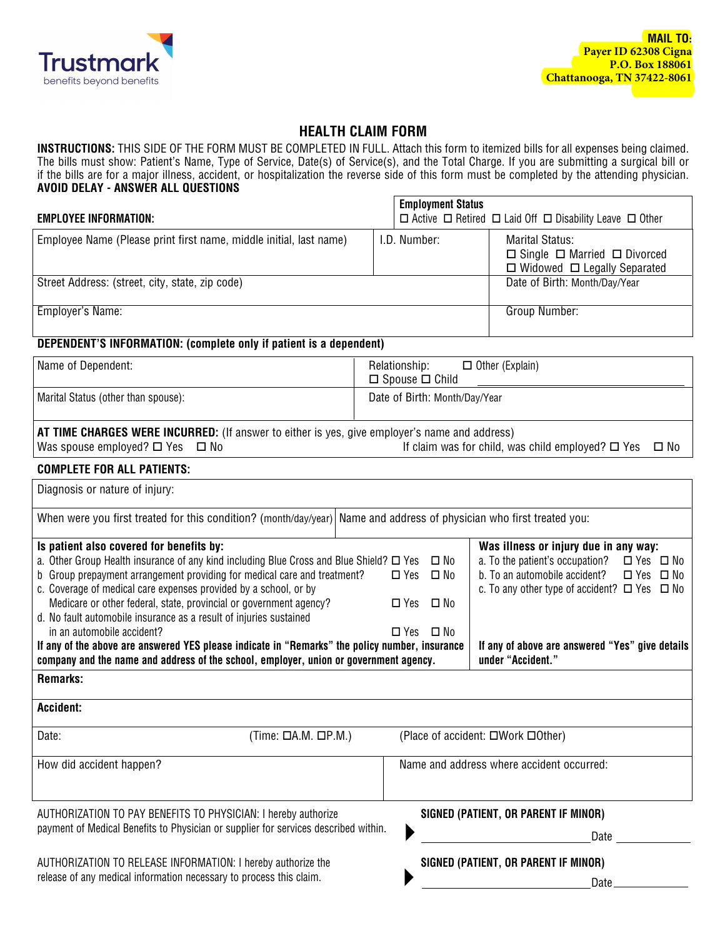

## **HEALTH CLAIM FORM**

**INSTRUCTIONS:** THIS SIDE OF THE FORM MUST BE COMPLETED IN FULL. Attach this form to itemized bills for all expenses being claimed. The bills must show: Patient's Name, Type of Service, Date(s) of Service(s), and the Total Charge. If you are submitting a surgical bill or if the bills are for a major illness, accident, or hospitalization the reverse side of this form must be completed by the attending physician. **AVOID DELAY - ANSWER ALL QUESTIONS**

|                                                                             | <b>Employment Status</b> |                                                                                                            |
|-----------------------------------------------------------------------------|--------------------------|------------------------------------------------------------------------------------------------------------|
| <b>EMPLOYEE INFORMATION:</b>                                                |                          | $\Box$ Active $\Box$ Retired $\Box$ Laid Off $\Box$ Disability Leave $\Box$ Other                          |
| Employee Name (Please print first name, middle initial, last name)          | I.D. Number:             | Marital Status:<br>$\Box$ Single $\Box$ Married $\Box$ Divorced<br>$\Box$ Widowed $\Box$ Legally Separated |
| Street Address: (street, city, state, zip code)                             |                          | Date of Birth: Month/Day/Year                                                                              |
| Employer's Name:                                                            |                          | Group Number:                                                                                              |
| <b>DEDENDENTIO INFODIATION:</b> (consulate and); if wattent is a demondent) |                          |                                                                                                            |

## DEPENDENT'S INFORMATION: (complete only if patient is a dependent)

| Name of Dependent:                  | Relationship:<br>$\Box$ Other (Explain)<br>$\Box$ Spouse $\Box$ Child |
|-------------------------------------|-----------------------------------------------------------------------|
| Marital Status (other than spouse): | Date of Birth: Month/Day/Year                                         |

**AT TIME CHARGES WERE INCURRED:** (If answer to either is yes, give employer's name and address) Was spouse employed?  $\Box$  Yes  $\Box$  No  $\Box$  If claim was for child, was child employed?  $\Box$  Yes  $\Box$  No

## **COMPLETE FOR ALL PATIENTS:**

| Diagnosis or nature of injury:                                                                                        |                                                                           |
|-----------------------------------------------------------------------------------------------------------------------|---------------------------------------------------------------------------|
| When were you first treated for this condition? (month/day/year) Name and address of physician who first treated you: |                                                                           |
| Is patient also covered for benefits by:                                                                              | Was illness or injury due in any way:                                     |
| a. Other Group Health insurance of any kind including Blue Cross and Blue Shield? $\Box$ Yes                          | $\square$ No<br>a. To the patient's occupation?<br>□ Yes □ No             |
| b Group prepayment arrangement providing for medical care and treatment?                                              | b. To an automobile accident?<br>$\square$ No<br>□ Yes □ No<br>$\Box$ Yes |
| c. Coverage of medical care expenses provided by a school, or by                                                      | c. To any other type of accident? $\Box$ Yes $\Box$ No                    |
| Medicare or other federal, state, provincial or government agency?                                                    | $\square$ Yes<br>∟ No                                                     |
| d. No fault automobile insurance as a result of injuries sustained                                                    |                                                                           |
| in an automobile accident?                                                                                            | $\Box$ Yes $\Box$ No                                                      |
| If any of the above are answered YES please indicate in "Remarks" the policy number, insurance                        | If any of above are answered "Yes" give details                           |
| company and the name and address of the school, employer, union or government agency.                                 | under "Accident."                                                         |
| <b>Remarks:</b>                                                                                                       |                                                                           |
| <b>Accident:</b>                                                                                                      |                                                                           |
| Date:<br>$(Time: \squareA.M. \squareP.M.)$                                                                            | (Place of accident: □Work □0ther)                                         |
| How did accident happen?                                                                                              | Name and address where accident occurred:                                 |
|                                                                                                                       |                                                                           |
|                                                                                                                       |                                                                           |
| AUTHORIZATION TO PAY BENEFITS TO PHYSICIAN: I hereby authorize                                                        | SIGNED (PATIENT, OR PARENT IF MINOR)                                      |
| payment of Medical Benefits to Physician or supplier for services described within.                                   | Date                                                                      |
| AUTHORIZATION TO RELEASE INFORMATION: I hereby authorize the                                                          | SIGNED (PATIENT, OR PARENT IF MINOR)                                      |
| release of any medical information necessary to process this claim.                                                   | Date                                                                      |